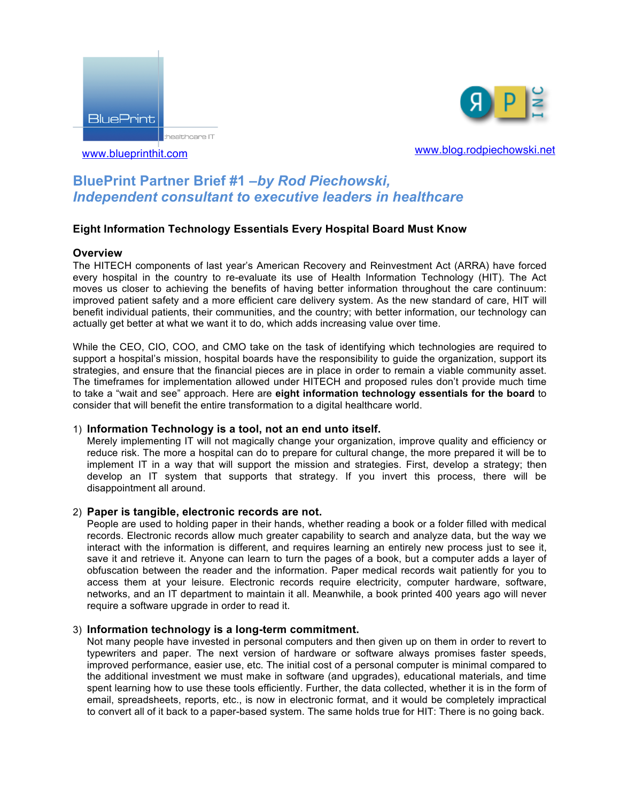



www.blueprinthit.com

www.blog.rodpiechowski.net

# **BluePrint Partner Brief #1 –***by Rod Piechowski, Independent consultant to executive leaders in healthcare*

# **Eight Information Technology Essentials Every Hospital Board Must Know**

#### **Overview**

The HITECH components of last year's American Recovery and Reinvestment Act (ARRA) have forced every hospital in the country to re-evaluate its use of Health Information Technology (HIT). The Act moves us closer to achieving the benefits of having better information throughout the care continuum: improved patient safety and a more efficient care delivery system. As the new standard of care, HIT will benefit individual patients, their communities, and the country; with better information, our technology can actually get better at what we want it to do, which adds increasing value over time.

While the CEO, CIO, COO, and CMO take on the task of identifying which technologies are required to support a hospital's mission, hospital boards have the responsibility to guide the organization, support its strategies, and ensure that the financial pieces are in place in order to remain a viable community asset. The timeframes for implementation allowed under HITECH and proposed rules don't provide much time to take a "wait and see" approach. Here are **eight information technology essentials for the board** to consider that will benefit the entire transformation to a digital healthcare world.

#### 1) **Information Technology is a tool, not an end unto itself.**

Merely implementing IT will not magically change your organization, improve quality and efficiency or reduce risk. The more a hospital can do to prepare for cultural change, the more prepared it will be to implement IT in a way that will support the mission and strategies. First, develop a strategy; then develop an IT system that supports that strategy. If you invert this process, there will be disappointment all around.

# 2) **Paper is tangible, electronic records are not.**

People are used to holding paper in their hands, whether reading a book or a folder filled with medical records. Electronic records allow much greater capability to search and analyze data, but the way we interact with the information is different, and requires learning an entirely new process just to see it, save it and retrieve it. Anyone can learn to turn the pages of a book, but a computer adds a layer of obfuscation between the reader and the information. Paper medical records wait patiently for you to access them at your leisure. Electronic records require electricity, computer hardware, software, networks, and an IT department to maintain it all. Meanwhile, a book printed 400 years ago will never require a software upgrade in order to read it.

## 3) **Information technology is a long-term commitment.**

Not many people have invested in personal computers and then given up on them in order to revert to typewriters and paper. The next version of hardware or software always promises faster speeds, improved performance, easier use, etc. The initial cost of a personal computer is minimal compared to the additional investment we must make in software (and upgrades), educational materials, and time spent learning how to use these tools efficiently. Further, the data collected, whether it is in the form of email, spreadsheets, reports, etc., is now in electronic format, and it would be completely impractical to convert all of it back to a paper-based system. The same holds true for HIT: There is no going back.